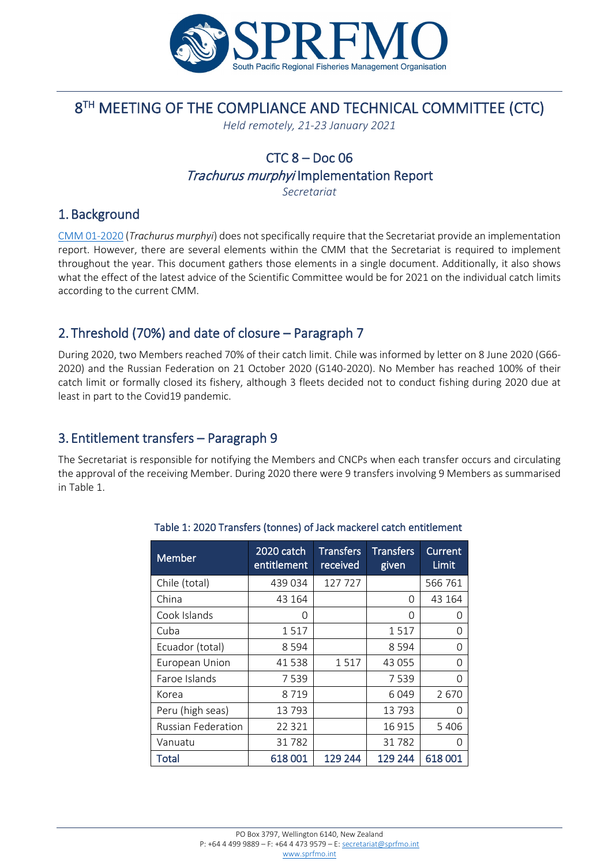

# 8<sup>TH</sup> MEETING OF THE COMPLIANCE AND TECHNICAL COMMITTEE (CTC)

*Held remotely, 21-23 January 2021*

## $CTC$   $8 - Doc$   $06$

Trachurus murphyi Implementation Report

*Secretariat*

#### 1. Background

[CMM 01-2020](https://www.sprfmo.int/assets/Fisheries/Conservation-and-Management-Measures/2020-CMMs/CMM-01-2020-Trachurus-murphyi-31Mar20.pdf) (*Trachurus murphyi*) does not specifically require that the Secretariat provide an implementation report. However, there are several elements within the CMM that the Secretariat is required to implement throughout the year. This document gathers those elements in a single document. Additionally, it also shows what the effect of the latest advice of the Scientific Committee would be for 2021 on the individual catch limits according to the current CMM.

### 2. Threshold (70%) and date of closure – Paragraph 7

During 2020, two Members reached 70% of their catch limit. Chile was informed by letter on 8 June 2020 (G66- 2020) and the Russian Federation on 21 October 2020 (G140-2020). No Member has reached 100% of their catch limit or formally closed its fishery, although 3 fleets decided not to conduct fishing during 2020 due at least in part to the Covid19 pandemic.

#### 3. Entitlement transfers – Paragraph 9

The Secretariat is responsible for notifying the Members and CNCPs when each transfer occurs and circulating the approval of the receiving Member. During 2020 there were 9 transfers involving 9 Members as summarised in Table 1.

| Member                    | 2020 catch<br>entitlement | <b>Transfers</b><br>received | <b>Transfers</b><br>given | Current<br>Limit |
|---------------------------|---------------------------|------------------------------|---------------------------|------------------|
| Chile (total)             | 439 034                   | 127 727                      |                           | 566 761          |
| China                     | 43 164                    |                              | 0                         | 43 164           |
| Cook Islands              | 0                         |                              | O                         | O                |
| Cuba                      | 1517                      |                              | 1517                      | O                |
| Ecuador (total)           | 8 5 9 4                   |                              | 8 5 9 4                   | O                |
| European Union            | 41538                     | 1517                         | 43 055                    | $\Omega$         |
| Faroe Islands             | 7539                      |                              | 7539                      | $\Omega$         |
| Korea                     | 8719                      |                              | 6049                      | 2670             |
| Peru (high seas)          | 13793                     |                              | 13793                     | O                |
| <b>Russian Federation</b> | 22 3 21                   |                              | 16 9 15                   | 5 4 0 6          |
| Vanuatu                   | 31782                     |                              | 31782                     | Ω                |
| Total                     | 618001                    | 129 244                      | 129 244                   | 618001           |

#### Table 1: 2020 Transfers (tonnes) of Jack mackerel catch entitlement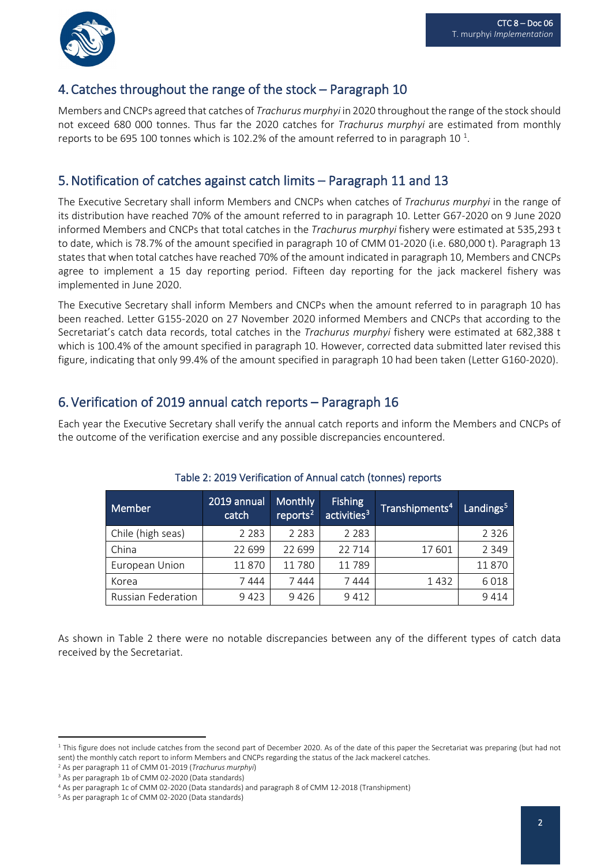

#### 4. Catches throughout the range of the stock – Paragraph 10

Members and CNCPs agreed that catches of *Trachurus murphyi* in 2020 throughout the range of the stock should not exceed 680 000 tonnes. Thus far the 2020 catches for *Trachurus murphyi* are estimated from monthly reports to be 695 [1](#page-1-0)00 tonnes which is 102.2% of the amount referred to in paragraph 10 $^1$ .

### 5.Notification of catches against catch limits – Paragraph 11 and 13

The Executive Secretary shall inform Members and CNCPs when catches of *Trachurus murphyi* in the range of its distribution have reached 70% of the amount referred to in paragraph 10. Letter G67-2020 on 9 June 2020 informed Members and CNCPs that total catches in the *Trachurus murphyi* fishery were estimated at 535,293 t to date, which is 78.7% of the amount specified in paragraph 10 of CMM 01-2020 (i.e. 680,000 t). Paragraph 13 states that when total catches have reached 70% of the amount indicated in paragraph 10, Members and CNCPs agree to implement a 15 day reporting period. Fifteen day reporting for the jack mackerel fishery was implemented in June 2020.

The Executive Secretary shall inform Members and CNCPs when the amount referred to in paragraph 10 has been reached. Letter G155-2020 on 27 November 2020 informed Members and CNCPs that according to the Secretariat's catch data records, total catches in the *Trachurus murphyi* fishery were estimated at 682,388 t which is 100.4% of the amount specified in paragraph 10. However, corrected data submitted later revised this figure, indicating that only 99.4% of the amount specified in paragraph 10 had been taken (Letter G160-2020).

#### 6. Verification of 2019 annual catch reports – Paragraph 16

Each year the Executive Secretary shall verify the annual catch reports and inform the Members and CNCPs of the outcome of the verification exercise and any possible discrepancies encountered.

| Member                    | 2019 annual<br>catch | <b>Monthly</b><br>reports <sup>2</sup> | <b>Fishing</b><br>activities <sup>3</sup> | Transhipments <sup>4</sup> | Landings <sup>5</sup> |
|---------------------------|----------------------|----------------------------------------|-------------------------------------------|----------------------------|-----------------------|
| Chile (high seas)         | 2 2 8 3              | 2 2 8 3                                | 2 2 8 3                                   |                            | 2 3 2 6               |
| China                     | 22 699               | 22 699                                 | 22714                                     | 17601                      | 2 3 4 9               |
| European Union            | 11870                | 11780                                  | 11789                                     |                            | 11870                 |
| Korea                     | 7444                 | 7444                                   | 7444                                      | 1432                       | 6018                  |
| <b>Russian Federation</b> | 9423                 | 9426                                   | 9412                                      |                            | 9414                  |

#### Table 2: 2019 Verification of Annual catch (tonnes) reports

As shown in Table 2 there were no notable discrepancies between any of the different types of catch data received by the Secretariat.

<span id="page-1-0"></span><sup>&</sup>lt;sup>1</sup> This figure does not include catches from the second part of December 2020. As of the date of this paper the Secretariat was preparing (but had not sent) the monthly catch report to inform Members and CNCPs regarding the status of the Jack mackerel catches.

<span id="page-1-1"></span><sup>2</sup> As per paragraph 11 of CMM 01-2019 (*Trachurus murphyi*)

<span id="page-1-2"></span><sup>3</sup> As per paragraph 1b of CMM 02-2020 (Data standards)

<span id="page-1-3"></span><sup>4</sup> As per paragraph 1c of CMM 02-2020 (Data standards) and paragraph 8 of CMM 12-2018 (Transhipment)

<span id="page-1-4"></span><sup>5</sup> As per paragraph 1c of CMM 02-2020 (Data standards)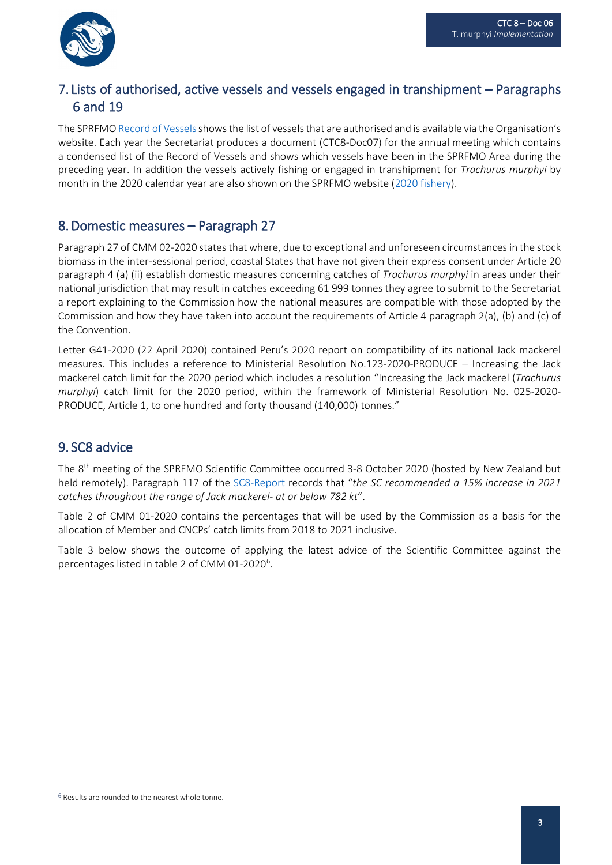

## 7. Lists of authorised, active vessels and vessels engaged in transhipment – Paragraphs 6 and 19

The SPRFM[O Record of Vessels](https://sprfmo.org/Web/Vessels/VesselSearchView.aspx) shows the list of vessels that are authorised and is available via the Organisation's website. Each year the Secretariat produces a document (CTC8-Doc07) for the annual meeting which contains a condensed list of the Record of Vessels and shows which vessels have been in the SPRFMO Area during the preceding year. In addition the vessels actively fishing or engaged in transhipment for *Trachurus murphyi* by month in the 2020 calendar year are also shown on the SPRFMO website [\(2020 fishery\)](https://www.sprfmo.int/data/trachurus-murphyi-fishery/2020-t-murphyi-fishery-2/).

#### 8.Domestic measures – Paragraph 27

Paragraph 27 of CMM 02-2020 states that where, due to exceptional and unforeseen circumstances in the stock biomass in the inter-sessional period, coastal States that have not given their express consent under Article 20 paragraph 4 (a) (ii) establish domestic measures concerning catches of *Trachurus murphyi* in areas under their national jurisdiction that may result in catches exceeding 61 999 tonnes they agree to submit to the Secretariat a report explaining to the Commission how the national measures are compatible with those adopted by the Commission and how they have taken into account the requirements of Article 4 paragraph 2(a), (b) and (c) of the Convention.

Letter G41-2020 (22 April 2020) contained Peru's 2020 report on compatibility of its national Jack mackerel measures. This includes a reference to Ministerial Resolution No.123-2020-PRODUCE – Increasing the Jack mackerel catch limit for the 2020 period which includes a resolution "Increasing the Jack mackerel (*Trachurus murphyi*) catch limit for the 2020 period, within the framework of Ministerial Resolution No. 025-2020- PRODUCE, Article 1, to one hundred and forty thousand (140,000) tonnes."

#### 9. SC8 advice

The 8<sup>th</sup> meeting of the SPRFMO Scientific Committee occurred 3-8 October 2020 (hosted by New Zealand but held remotely). Paragraph 117 of the [SC8-Report](https://www.sprfmo.int/assets/2020-SC8/Report/SPRFMO-SC8-Report-2020.pdf) records that "*the SC recommended a 15% increase in 2021 catches throughout the range of Jack mackerel- at or below 782 kt*".

Table 2 of CMM 01-2020 contains the percentages that will be used by the Commission as a basis for the allocation of Member and CNCPs' catch limits from 2018 to 2021 inclusive.

Table 3 below shows the outcome of applying the latest advice of the Scientific Committee against the percentages listed in table 2 of CMM 01-2020<sup>[6](#page-2-0)</sup>.

<span id="page-2-0"></span><sup>&</sup>lt;sup>6</sup> Results are rounded to the nearest whole tonne.